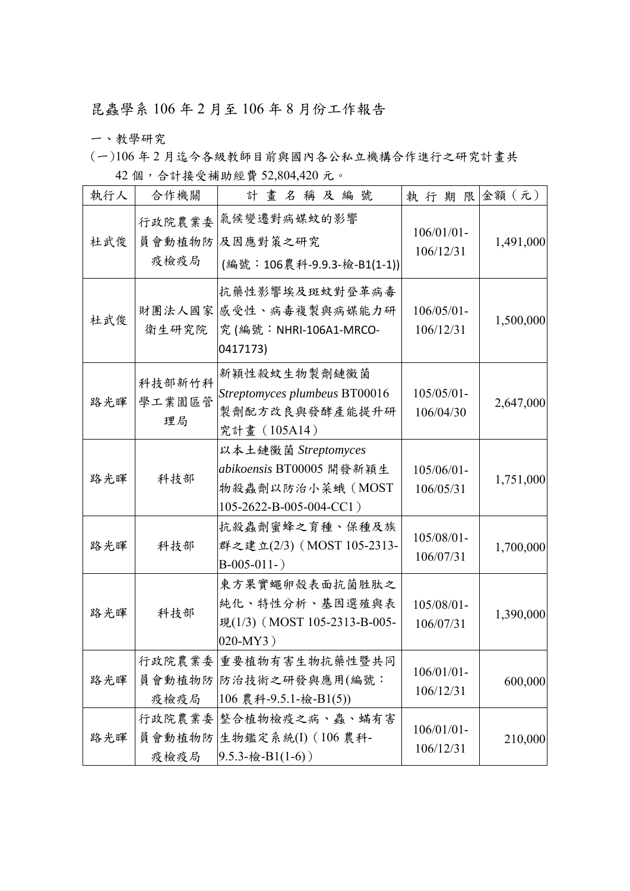## 昆蟲學系 106 年 2 月至 106 年 8 月份工作報告

一、教學研究

(一)106 年 2 月迄今各級教師目前與國內各公私立機構合作進行之研究計畫共

| 執行人 | 合作機關                     | 計畫名稱及編號                                                                                        | 執行期限金額(元)                  |           |  |
|-----|--------------------------|------------------------------------------------------------------------------------------------|----------------------------|-----------|--|
| 杜武俊 | 行政院農業委<br>疫檢疫局           | 氣候變遷對病媒蚊的影響<br>員會動植物防及因應對策之研究<br>(編號:106農科-9.9.3-檢-B1(1-1))                                    | $106/01/01$ -<br>106/12/31 | 1,491,000 |  |
| 杜武俊 | 衛生研究院                    | 抗藥性影響埃及斑蚊對登革病毒<br>財團法人國家 感受性、病毒複製與病媒能力研<br>究(編號: NHRI-106A1-MRCO-<br>0417173)                  | $106/05/01 -$<br>106/12/31 | 1,500,000 |  |
| 路光暉 | 科技部新竹科<br>學工業園區管<br>理局   | 新穎性殺蚊生物製劑鏈黴菌<br>Streptomyces plumbeus BT00016<br>製劑配方改良與發酵產能提升研<br>究計畫 (105A14)                | $105/05/01$ -<br>106/04/30 | 2,647,000 |  |
| 路光暉 | 科技部                      | 以本土鏈黴菌 Streptomyces<br>abikoensis BT00005 開發新穎生<br>物殺蟲劑以防治小菜蛾 (MOST<br>105-2622-B-005-004-CC1) | $105/06/01 -$<br>106/05/31 | 1,751,000 |  |
| 路光暉 | 科技部                      | 抗殺蟲劑蜜蜂之育種、保種及族<br>群之建立(2/3) (MOST 105-2313-<br>$B-005-011-$                                    | $105/08/01 -$<br>106/07/31 | 1,700,000 |  |
| 路光暉 | 科技部                      | 東方果實蠅卵殼表面抗菌胜肽之<br>純化、特性分析、基因選殖與表<br>現(1/3) (MOST 105-2313-B-005-<br>020-MY3)                   | $105/08/01 -$<br>106/07/31 | 1,390,000 |  |
| 路光暉 | 疫檢疫局                     | 行政院農業委 重要植物有害生物抗藥性暨共同<br>員會動植物防 防治技術之研發與應用(編號:<br>106 農科-9.5.1-檢-B1(5))                        | $106/01/01$ -<br>106/12/31 | 600,000   |  |
| 路光暉 | 行政院農業委<br>員會動植物防<br>疫檢疫局 | 整合植物檢疫之病、蟲、蟎有害<br>生物鑑定系統(I) (106 農科-<br>$9.5.3 - \frac{1}{6}$ -B1(1-6))                        | $106/01/01$ -<br>106/12/31 | 210,000   |  |

42 個,合計接受補助經費 52,804,420 元。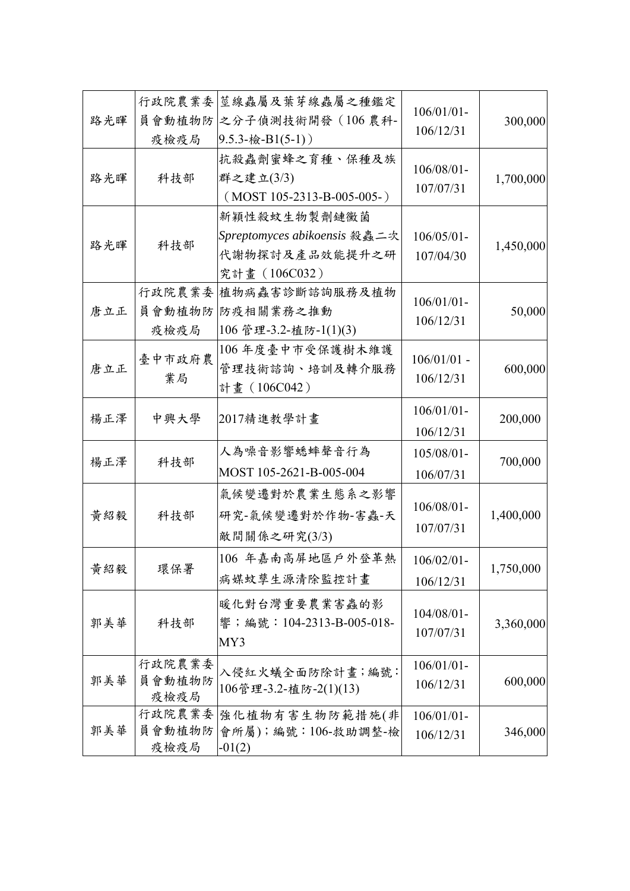| 路光暉 | 行政院農業委<br>員會動植物防<br>疫檢疫局 | 莖線蟲屬及葉芽線蟲屬之種鑑定<br>之分子偵測技術開發 (106 農科-<br>$9.5.3 - \frac{1}{6} - B1(5-1)$         | $106/01/01$ -<br>106/12/31 | 300,000   |
|-----|--------------------------|---------------------------------------------------------------------------------|----------------------------|-----------|
| 路光暉 | 科技部                      | 抗殺蟲劑蜜蜂之育種、保種及族<br>群之建立(3/3)<br>$(MOST 105-2313-B-005-005-)$                     | $106/08/01 -$<br>107/07/31 | 1,700,000 |
| 路光暉 | 科技部                      | 新穎性殺蚊生物製劑鏈黴菌<br>Spreptomyces abikoensis 殺蟲二次<br>代謝物探討及產品效能提升之研<br>究計畫 (106C032) | $106/05/01 -$<br>107/04/30 | 1,450,000 |
| 唐立正 | 行政院農業委<br>員會動植物防<br>疫檢疫局 | 植物病蟲害診斷諮詢服務及植物<br>防疫相關業務之推動<br>106 管理-3.2-植防-1(1)(3)                            | $106/01/01$ -<br>106/12/31 | 50,000    |
| 唐立正 | 臺中市政府農<br>業局             | 106年度臺中市受保護樹木維護<br>管理技術諮詢、培訓及轉介服務<br>計畫 (106C042)                               | $106/01/01$ -<br>106/12/31 | 600,000   |
| 楊正澤 | 中興大學                     | 2017精進教學計畫                                                                      | $106/01/01$ -<br>106/12/31 | 200,000   |
| 楊正澤 | 科技部                      | 人為噪音影響蟋蟀聲音行為<br>MOST 105-2621-B-005-004                                         | $105/08/01$ -<br>106/07/31 | 700,000   |
| 黃紹毅 | 科技部                      | 氣候變遷對於農業生態系之影響<br>研究-氣候變遷對於作物-害蟲-天<br>敵間關係之研究(3/3)                              | 106/08/01-<br>107/07/31    | 1,400,000 |
| 黃紹毅 | 環保署                      | 106 年嘉南高屏地區戶外登革熱<br>病媒蚊孳生源清除監控計畫                                                | $106/02/01$ -<br>106/12/31 | 1,750,000 |
| 郭美華 | 科技部                      | 暖化對台灣重要農業害蟲的影<br>響;編號:104-2313-B-005-018-<br>MY3                                | $104/08/01 -$<br>107/07/31 | 3,360,000 |
| 郭美華 | 行政院農業委<br>員會動植物防<br>疫檢疫局 | 入侵紅火蟻全面防除計畫; 編號:<br>106管理-3.2-植防-2(1)(13)                                       | $106/01/01$ -<br>106/12/31 | 600,000   |
| 郭美華 | 行政院農業委<br>員會動植物防<br>疫檢疫局 | 強化植物有害生物防範措施(非<br>會所屬);編號:106-救助調整-檢<br>$-01(2)$                                | $106/01/01$ -<br>106/12/31 | 346,000   |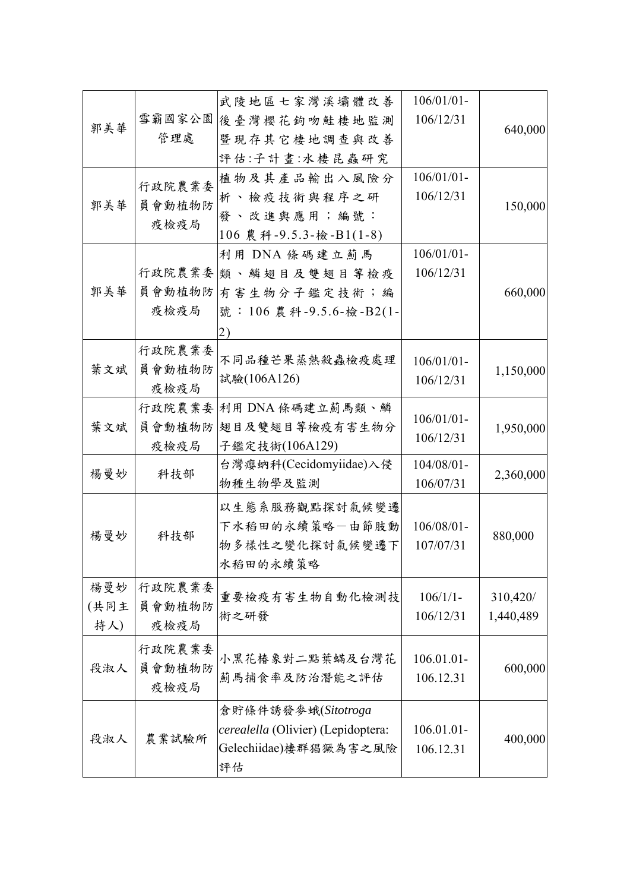|      |        | 武陵地區七家灣溪壩體改善                       | $106/01/01$ - |           |
|------|--------|------------------------------------|---------------|-----------|
| 郭美華  | 雪霸國家公園 | 後臺灣櫻花鉤吻鮭棲地監測                       | 106/12/31     | 640,000   |
|      | 管理處    | 暨現存其它棲地調查與改善                       |               |           |
|      |        | 評估:子計畫:水棲昆蟲研究                      |               |           |
|      | 行政院農業委 | 植物及其產品輸出入風險分                       | $106/01/01$ - |           |
|      |        | 析、檢疫技術與程序之研                        | 106/12/31     |           |
| 郭美華  | 員會動植物防 | 發、改進與應用;編號:                        |               | 150,000   |
|      | 疫檢疫局   | 106 農科-9.5.3-檢-B1(1-8)             |               |           |
|      |        | 利用 DNA 條碼建立薊馬                      | $106/01/01$ - |           |
|      |        | 行政院農業委 類、鱗翅目及雙翅目等檢疫                | 106/12/31     |           |
| 郭美華  |        | 員會動植物防 有害生物分子鑑定技術;編                |               | 660,000   |
|      | 疫檢疫局   | 號: 106 農科-9.5.6-檢-B2(1-            |               |           |
|      |        | 2)                                 |               |           |
|      | 行政院農業委 |                                    |               |           |
| 葉文斌  | 員會動植物防 | 不同品種芒果蒸熱殺蟲檢疫處理                     | $106/01/01$ - | 1,150,000 |
|      | 疫檢疫局   | 試驗(106A126)                        | 106/12/31     |           |
|      |        | 行政院農業委 利用 DNA 條碼建立薊馬類、鱗            |               |           |
| 葉文斌  | 員會動植物防 | 翅目及雙翅目等檢疫有害生物分                     | $106/01/01$ - | 1,950,000 |
|      | 疫檢疫局   | 子鑑定技術(106A129)                     | 106/12/31     |           |
|      |        | 台灣瘿蚋科(Cecidomyiidae)入侵             | $104/08/01$ - |           |
| 楊曼妙  | 科技部    | 物種生物學及監測                           | 106/07/31     | 2,360,000 |
|      |        | 以生態系服務觀點探討氣候變遷                     |               |           |
|      |        | 下水稻田的永續策略一由節肢動                     | 106/08/01-    |           |
| 楊曼妙  | 科技部    | 物多樣性之變化探討氣候變遷下                     | 107/07/31     | 880,000   |
|      |        | 水稻田的永續策略                           |               |           |
|      |        |                                    |               |           |
| 楊曼妙  | 行政院農業委 | 重要檢疫有害生物自動化檢測技                     | $106/1/1$ -   | 310,420/  |
| (共同主 | 員會動植物防 | 術之研發                               | 106/12/31     | 1,440,489 |
| 持人)  | 疫檢疫局   |                                    |               |           |
|      | 行政院農業委 | 小黑花椿象對二點葉蟎及台灣花                     | 106.01.01-    |           |
| 段淑人  | 員會動植物防 | 薊馬捕食率及防治潛能之評估                      | 106.12.31     | 600,000   |
|      | 疫檢疫局   |                                    |               |           |
|      |        | 倉貯條件誘發參蛾(Sitotroga                 |               |           |
|      |        | cerealella (Olivier) (Lepidoptera: | 106.01.01-    |           |
| 段淑人  | 農業試驗所  | Gelechiidae)棲群猖獗為害之風險              | 106.12.31     | 400,000   |
|      |        | 評估                                 |               |           |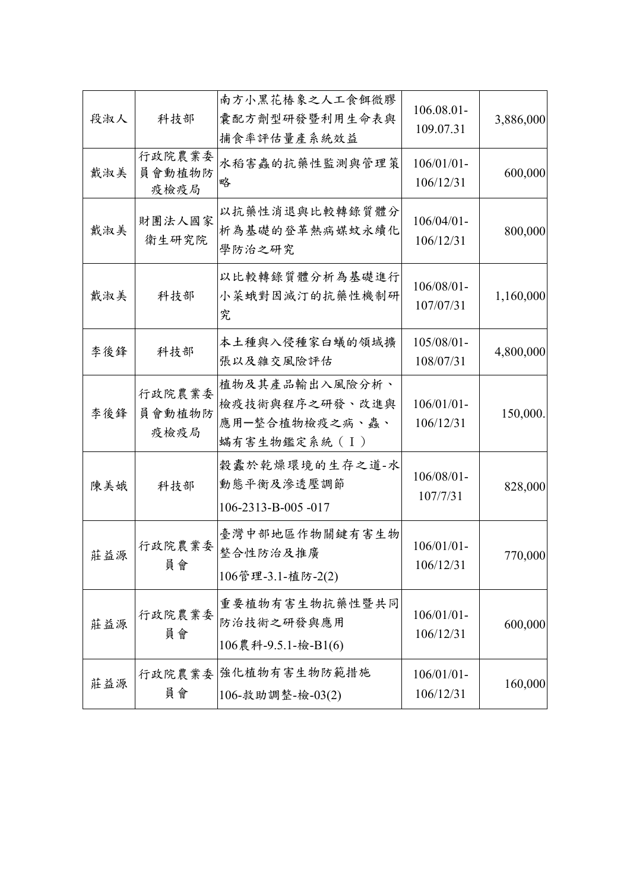| 3,886,000 | 106.08.01-<br>109.07.31    | 南方小黑花椿象之人工食餌微膠<br>囊配方劑型研發暨利用生命表與<br>捕食率評估量產系統效益                    | 科技部                      | 段淑人 |
|-----------|----------------------------|--------------------------------------------------------------------|--------------------------|-----|
| 600,000   | $106/01/01$ -<br>106/12/31 | 水稻害蟲的抗藥性監測與管理策<br>略                                                | 行政院農業委<br>員會動植物防<br>疫檢疫局 | 戴淑美 |
| 800,000   | $106/04/01$ -<br>106/12/31 | 以抗藥性消退與比較轉錄質體分<br>析為基礎的登革熱病媒蚊永續化<br>學防治之研究                         | 財團法人國家<br>衛生研究院          | 戴淑美 |
| 1,160,000 | 106/08/01-<br>107/07/31    | 以比較轉錄質體分析為基礎進行<br>小菜蛾對因滅汀的抗藥性機制研<br>究                              | 科技部                      | 戴淑美 |
| 4,800,000 | $105/08/01 -$<br>108/07/31 | 本土種與入侵種家白蟻的領域擴<br>張以及雜交風險評估                                        | 科技部                      | 李後鋒 |
| 150,000.  | $106/01/01$ -<br>106/12/31 | 植物及其產品輸出入風險分析、<br>檢疫技術與程序之研發、改進與<br>應用一整合植物檢疫之病、蟲、<br>蟎有害生物鑑定系統(I) | 行政院農業委<br>員會動植物防<br>疫檢疫局 | 李後鋒 |
| 828,000   | $106/08/01 -$<br>107/7/31  | 穀蠹於乾燥環境的生存之道-水<br>動態平衡及滲透壓調節<br>106-2313-B-005-017                 | 科技部                      | 陳美娥 |
| 770,000   | $106/01/01$ -<br>106/12/31 | 臺灣中部地區作物關鍵有害生物<br>整合性防治及推廣<br>106管理-3.1-植防-2(2)                    | 行政院農業委<br>員會             | 莊益源 |
| 600,000   | $106/01/01$ -<br>106/12/31 | 重要植物有害生物抗藥性暨共同<br>防治技術之研發與應用<br>106農科-9.5.1-檢-B1(6)                | 行政院農業委<br>員會             | 莊益源 |
| 160,000   | $106/01/01$ -<br>106/12/31 | 強化植物有害生物防範措施<br>106-救助調整-檢-03(2)                                   | 行政院農業委<br>員會             | 莊益源 |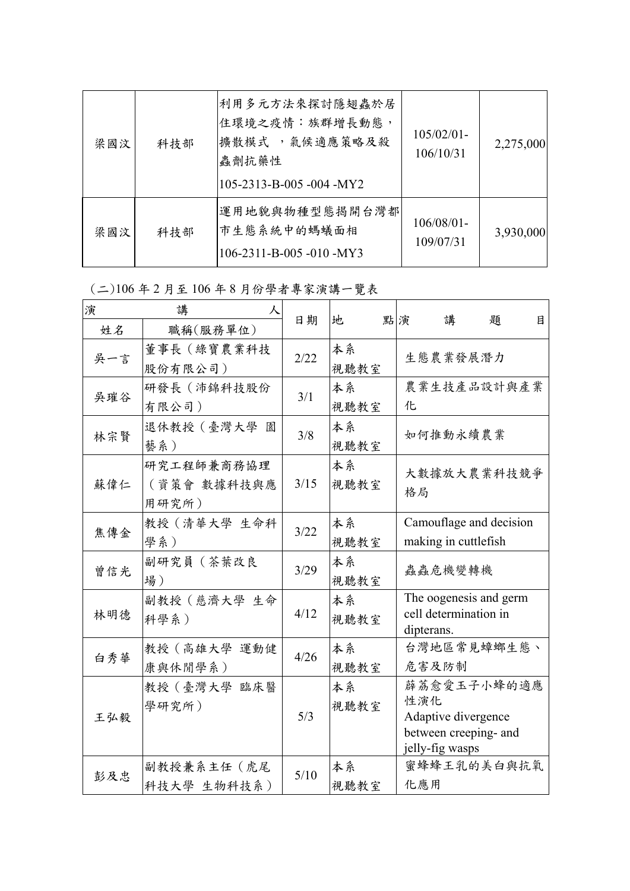| 梁國汶 | 科技部 | 利用多元方法來探討隱翅蟲於居<br>住環境之疫情:族群增長動態,<br>擴散模式 , 氣候適應策略及殺<br>蟲劑抗藥性<br>105-2313-B-005 -004 -MY2 | $105/02/01$ -<br>106/10/31 | 2,275,000 |
|-----|-----|------------------------------------------------------------------------------------------|----------------------------|-----------|
| 梁國汶 | 科技部 | 運用地貌與物種型態揭開台灣都<br>市生態系統中的螞蟻面相<br>106-2311-B-005 -010 -MY3                                | $106/08/01$ -<br>109/07/31 | 3,930,000 |

(二)106 年 2 月至 106 年 8 月份學者專家演講一覽表

| 演   | 講<br>人                             |      |            |    |            |                                        |                                      |   |
|-----|------------------------------------|------|------------|----|------------|----------------------------------------|--------------------------------------|---|
| 姓名  | 職稱(服務單位)                           | 日期   | 地          | 點演 |            | 講                                      | 題                                    | 目 |
| 吳一言 | 董事長(綠寶農業科技<br>股份有限公司)              | 2/22 | 本系<br>視聽教室 |    |            | 生態農業發展潛力                               |                                      |   |
| 吳璀谷 | 研發長(沛錦科技股份<br>有限公司)                | 3/1  | 本系<br>視聽教室 |    | 化          |                                        | 農業生技產品設計與產業                          |   |
| 林宗賢 | 退休教授 (臺灣大學 園<br>藝系)                | 3/8  | 本系<br>視聽教室 |    |            | 如何推動永續農業                               |                                      |   |
| 蘇偉仁 | 研究工程師兼商務協理<br>(資策會 數據科技與應<br>用研究所) | 3/15 | 本系<br>視聽教室 |    | 格局         |                                        | 大數據放大農業科技競爭                          |   |
| 焦傳金 | 教授 (清華大學 生命科<br>學系)                | 3/22 | 本系<br>視聽教室 |    |            | making in cuttlefish                   | Camouflage and decision              |   |
| 曾信光 | 副研究員(茶葉改良<br>場)                    | 3/29 | 本系<br>視聽教室 |    |            | 蟲蟲危機變轉機                                |                                      |   |
| 林明德 | 副教授 (慈濟大學 生命<br>科學系)               | 4/12 | 本系<br>視聽教室 |    | dipterans. | cell determination in                  | The oogenesis and germ               |   |
| 白秀華 | 教授 (高雄大學 運動健<br>康與休閒學系)            | 4/26 | 本系<br>視聽教室 |    | 危害及防制      |                                        | 台灣地區常見蟑螂生態、                          |   |
| 王弘毅 | 教授 (臺灣大學 臨床醫<br>學研究所)              | 5/3  | 本系<br>視聽教室 |    | 性演化        | Adaptive divergence<br>jelly-fig wasps | 薜荔愈愛玉子小蜂的適應<br>between creeping- and |   |
| 彭及忠 | 副教授兼系主任(虎尾<br>科技大學 生物科技系)          | 5/10 | 本系<br>視聽教室 |    | 化應用        |                                        | 蜜蜂蜂王乳的美白與抗氧                          |   |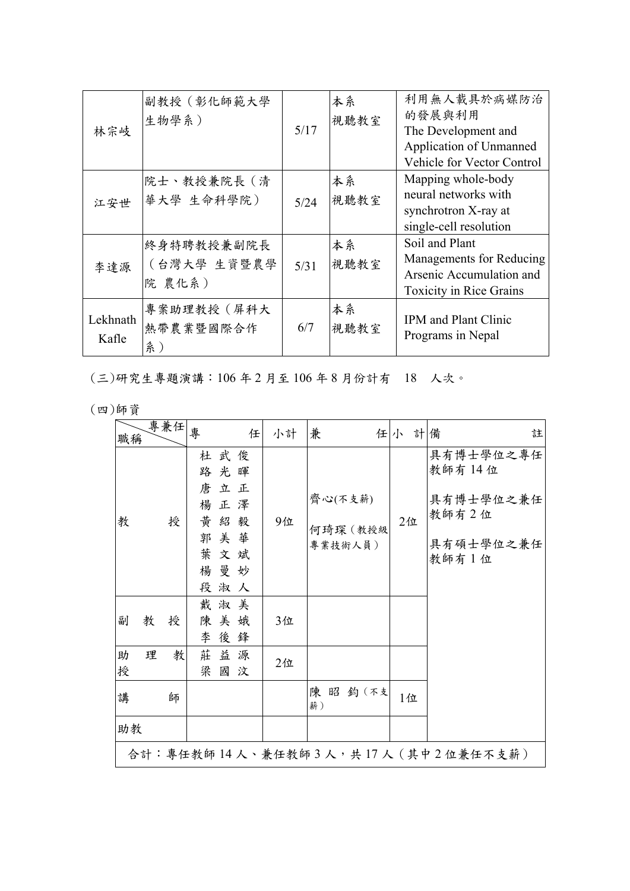| 林宗岐               | 副教授(彰化師範大學<br>生物學系)                 | 5/17 | 本系<br>視聽教室 | 利用無人載具於病媒防治<br>的發展與利用<br>The Development and<br>Application of Unmanned<br>Vehicle for Vector Control    |
|-------------------|-------------------------------------|------|------------|----------------------------------------------------------------------------------------------------------|
| 江安世               | 院士、教授兼院長(清<br>華大學 生命科學院)            | 5/24 | 本系<br>視聽教室 | Mapping whole-body<br>neural networks with<br>synchrotron X-ray at<br>single-cell resolution             |
| 李達源               | 終身特聘教授兼副院長<br>(台灣大學 生資暨農學<br>院 農化系) | 5/31 | 本系<br>視聽教室 | Soil and Plant<br>Managements for Reducing<br>Arsenic Accumulation and<br><b>Toxicity in Rice Grains</b> |
| Lekhnath<br>Kafle | 專案助理教授(屏科大<br>熱帶農業暨國際合作<br>系)       | 6/7  | 本系<br>視聽教室 | <b>IPM</b> and <b>Plant</b> Clinic<br>Programs in Nepal                                                  |

(三)研究生專題演講:106 年 2 月至 106 年 8 月份計有 18 人次。

(四)師資

| 職稱               | 專兼任                                      | 專                          |                                                 | 任       | 小計       | 兼                              |  | 任小 計備 | 註                                                                 |
|------------------|------------------------------------------|----------------------------|-------------------------------------------------|---------|----------|--------------------------------|--|-------|-------------------------------------------------------------------|
| 教                | 授                                        | 路<br>唐<br>楊<br>黃<br>郭<br>段 | 杜武俊<br>光暉<br>立正<br>正澤<br>紹毅<br>美華<br>葉文斌<br>楊曼妙 | 淑人      | 9位       | 齊心(不支薪)<br>何琦琛 (教授級<br>專業技術人員) |  | 2位    | 具有博士學位之專任<br>教師有 14 位<br>具有博士學位之兼任<br>教師有2位<br>具有碩士學位之兼任<br>教師有1位 |
| 副<br>助<br>授<br>講 | 教<br>授<br>理<br>教<br>師                    | 陳<br>李<br>莊<br>梁           | 戴淑美<br>美娥<br>益源<br>國                            | 後鋒<br>汶 | 3位<br>2位 | 陳昭鈞(不支<br>薪)                   |  | 1位    |                                                                   |
|                  | 助教<br>合計:專任教師14人、兼任教師3人,共17人 (其中2位兼任不支薪) |                            |                                                 |         |          |                                |  |       |                                                                   |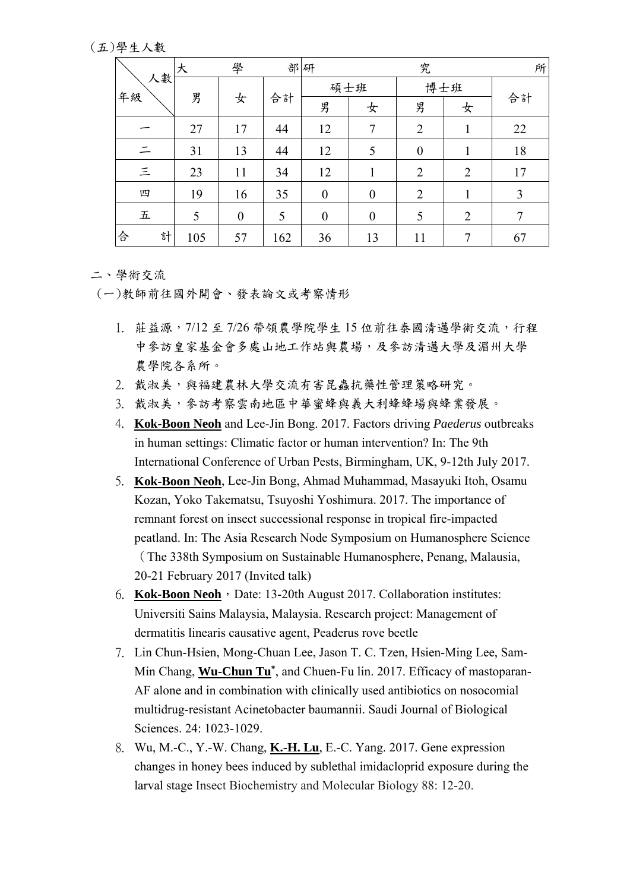(五)學生人數

|          | 大   | 學                | 部研  |                  |                  | 究                |                | 所              |
|----------|-----|------------------|-----|------------------|------------------|------------------|----------------|----------------|
| 人數<br>年級 |     |                  |     | 碩士班              |                  | 博士班              |                |                |
|          | 男   | 女                | 合計  | 男                | 女                | 男                | 女              | 合計             |
|          | 27  | 17               | 44  | 12               | 7                | $\overline{2}$   |                | 22             |
| 드        | 31  | 13               | 44  | 12               | 5                | $\boldsymbol{0}$ |                | 18             |
| $\equiv$ | 23  | 11               | 34  | 12               | 1                | $\overline{2}$   | $\overline{2}$ | 17             |
| 四        | 19  | 16               | 35  | $\boldsymbol{0}$ | $\boldsymbol{0}$ | $\overline{2}$   | 1              | 3              |
| 五        | 5   | $\boldsymbol{0}$ | 5   | $\boldsymbol{0}$ | $\boldsymbol{0}$ | 5                | $\overline{2}$ | $\overline{7}$ |
| 合<br>計   | 105 | 57               | 162 | 36               | 13               | 11               | $\mathcal{I}$  | 67             |

## 二、學術交流

(一)教師前往國外開會、發表論文或考察情形

- 1. 莊益源, 7/12至 7/26 帶領農學院學生 15 位前往泰國清邁學術交流, 行程 中參訪皇家基金會多處山地工作站與農場,及參訪清邁大學及湄州大學 農學院各系所。
- 2. 戴淑美,與福建農林大學交流有害昆蟲抗藥性管理策略研究。
- 3. 戴淑美,參訪考察雲南地區中華蜜蜂與義大利蜂蜂場與蜂業發展。
- 4. **Kok-Boon Neoh** and Lee-Jin Bong. 2017. Factors driving *Paederus* outbreaks in human settings: Climatic factor or human intervention? In: The 9th International Conference of Urban Pests, Birmingham, UK, 9-12th July 2017.
- 5. **Kok-Boon Neoh**, Lee-Jin Bong, Ahmad Muhammad, Masayuki Itoh, Osamu Kozan, Yoko Takematsu, Tsuyoshi Yoshimura. 2017. The importance of remnant forest on insect successional response in tropical fire-impacted peatland. In: The Asia Research Node Symposium on Humanosphere Science (The 338th Symposium on Sustainable Humanosphere, Penang, Malausia, 20-21 February 2017 (Invited talk)
- 6. **Kok-Boon Neoh**, Date: 13-20th August 2017. Collaboration institutes: Universiti Sains Malaysia, Malaysia. Research project: Management of dermatitis linearis causative agent, Peaderus rove beetle
- 7. Lin Chun-Hsien, Mong-Chuan Lee, Jason T. C. Tzen, Hsien-Ming Lee, Sam-Min Chang, **Wu-Chun Tu\***, and Chuen-Fu lin. 2017. Efficacy of mastoparan-AF alone and in combination with clinically used antibiotics on nosocomial multidrug-resistant Acinetobacter baumannii. Saudi Journal of Biological Sciences. 24: 1023-1029.
- 8. Wu, M.-C., Y.-W. Chang, **K.-H. Lu**, E.-C. Yang. 2017. Gene expression changes in honey bees induced by sublethal imidacloprid exposure during the larval stage Insect Biochemistry and Molecular Biology 88: 12-20.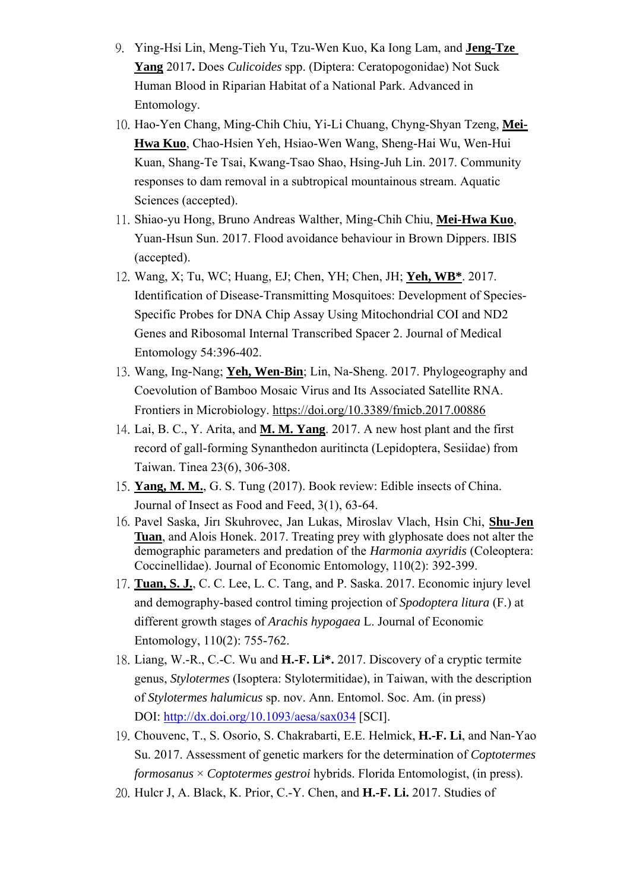- 9. Ying-Hsi Lin, Meng-Tieh Yu, Tzu-Wen Kuo, Ka Iong Lam, and **Jeng-Tze Yang** 2017**.** Does *Culicoides* spp. (Diptera: Ceratopogonidae) Not Suck Human Blood in Riparian Habitat of a National Park. Advanced in Entomology.
- 10. Hao-Yen Chang, Ming-Chih Chiu, Yi-Li Chuang, Chyng-Shyan Tzeng, **Mei-Hwa Kuo**, Chao-Hsien Yeh, Hsiao-Wen Wang, Sheng-Hai Wu, Wen-Hui Kuan, Shang-Te Tsai, Kwang-Tsao Shao, Hsing-Juh Lin. 2017. Community responses to dam removal in a subtropical mountainous stream. Aquatic Sciences (accepted).
- 11. Shiao-yu Hong, Bruno Andreas Walther, Ming-Chih Chiu, **Mei-Hwa Kuo**, Yuan-Hsun Sun. 2017. Flood avoidance behaviour in Brown Dippers. IBIS (accepted).
- 12. Wang, X; Tu, WC; Huang, EJ; Chen, YH; Chen, JH; **Yeh, WB\***. 2017. Identification of Disease-Transmitting Mosquitoes: Development of Species-Specific Probes for DNA Chip Assay Using Mitochondrial COI and ND2 Genes and Ribosomal Internal Transcribed Spacer 2. Journal of Medical Entomology 54:396-402.
- 13. Wang, Ing-Nang; **Yeh, Wen-Bin**; Lin, Na-Sheng. 2017. Phylogeography and Coevolution of Bamboo Mosaic Virus and Its Associated Satellite RNA. Frontiers in Microbiology. https://doi.org/10.3389/fmicb.2017.00886
- 14. Lai, B. C., Y. Arita, and **M. M. Yang**. 2017. A new host plant and the first record of gall-forming Synanthedon auritincta (Lepidoptera, Sesiidae) from Taiwan. Tinea 23(6), 306-308.
- 15. **Yang, M. M.**, G. S. Tung (2017). Book review: Edible insects of China. Journal of Insect as Food and Feed, 3(1), 63-64.
- 16. Pavel Saska, Jirı Skuhrovec, Jan Lukas, Miroslav Vlach, Hsin Chi, **Shu-Jen Tuan**, and Alois Honek. 2017. Treating prey with glyphosate does not alter the demographic parameters and predation of the *Harmonia axyridis* (Coleoptera: Coccinellidae). Journal of Economic Entomology, 110(2): 392-399.
- 17. **Tuan, S. J.**, C. C. Lee, L. C. Tang, and P. Saska. 2017. Economic injury level and demography-based control timing projection of *Spodoptera litura* (F.) at different growth stages of *Arachis hypogaea* L. Journal of Economic Entomology, 110(2): 755-762.
- 18. Liang, W.-R., C.-C. Wu and **H.-F. Li\*.** 2017. Discovery of a cryptic termite genus, *Stylotermes* (Isoptera: Stylotermitidae), in Taiwan, with the description of *Stylotermes halumicus* sp. nov. Ann. Entomol. Soc. Am. (in press) DOI: http://dx.doi.org/10.1093/aesa/sax034 [SCI].
- 19. Chouvenc, T., S. Osorio, S. Chakrabarti, E.E. Helmick, **H.-F. Li**, and Nan-Yao Su. 2017. Assessment of genetic markers for the determination of *Coptotermes formosanus* × *Coptotermes gestroi* hybrids. Florida Entomologist, (in press).
- 20. Hulcr J, A. Black, K. Prior, C.-Y. Chen, and **H.-F. Li.** 2017. Studies of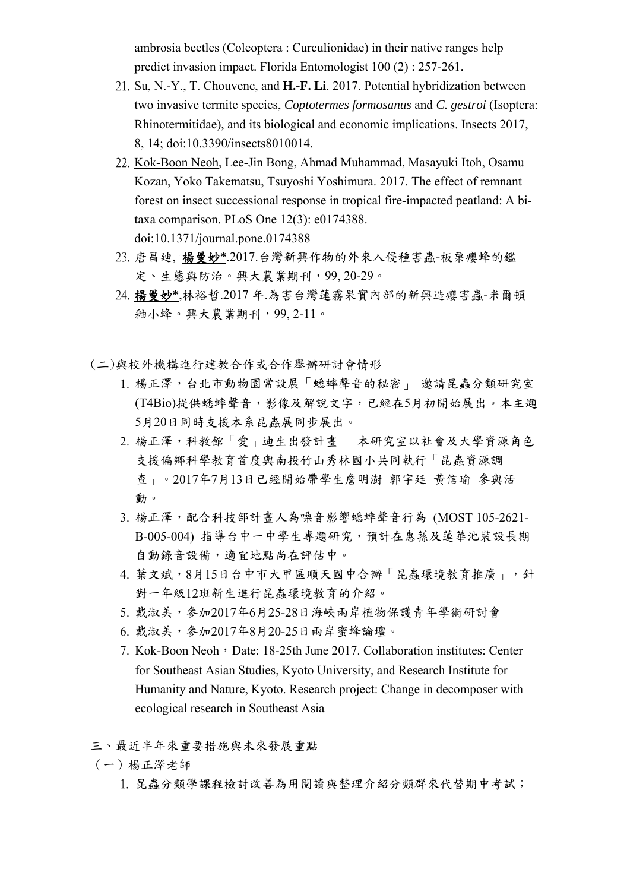ambrosia beetles (Coleoptera : Curculionidae) in their native ranges help predict invasion impact. Florida Entomologist 100 (2) : 257-261.

- 21. Su, N.-Y., T. Chouvenc, and **H.-F. Li**. 2017. Potential hybridization between two invasive termite species, *Coptotermes formosanus* and *C. gestroi* (Isoptera: Rhinotermitidae), and its biological and economic implications. Insects 2017, 8, 14; doi:10.3390/insects8010014.
- 22. Kok-Boon Neoh, Lee-Jin Bong, Ahmad Muhammad, Masayuki Itoh, Osamu Kozan, Yoko Takematsu, Tsuyoshi Yoshimura. 2017. The effect of remnant forest on insect successional response in tropical fire-impacted peatland: A bitaxa comparison. PLoS One 12(3): e0174388. doi:10.1371/journal.pone.0174388
- 23. 唐昌廸, 楊曼妙**\***.2017.台灣新興作物的外來入侵種害蟲-板栗癭蜂的鑑 定、生態與防治。興大農業期刊,99, 20-29。
- 24. 楊曼妙**\***,林裕哲.2017 年.為害台灣蓮霧果實內部的新興造癭害蟲-米爾頓 釉小蜂。興大農業期刊,99, 2-11。
- (二)與校外機構進行建教合作或合作舉辦研討會情形
	- 1. 楊正澤,台北市動物園常設展「蟋蟀聲音的秘密」 邀請昆蟲分類研究室 (T4Bio)提供蟋蟀聲音,影像及解說文字,已經在5月初開始展出。本主題 5月20日同時支援本系昆蟲展同步展出。
	- 2. 楊正澤,科教館「愛」迪生出發計畫」 本研究室以社會及大學資源角色 支援偏鄉科學教育首度與南投竹山秀林國小共同執行「昆蟲資源調 查」。2017年7月13日已經開始帶學生詹明澍 郭宇廷 黃信瑜 參與活 動。
	- 3. 楊正澤,配合科技部計畫人為噪音影響蟋蟀聲音行為 (MOST 105-2621- B-005-004) 指導台中一中學生專題研究,預計在惠蓀及蓮華池裝設長期 自動錄音設備,適宜地點尚在評估中。
	- 4. 葉文斌,8月15日台中市大甲區順天國中合辦「昆蟲環境教育推廣」,針 對一年級12班新生進行昆蟲環境教育的介紹。
	- 5. 戴淑美,參加2017年6月25-28日海峽兩岸植物保護青年學術研討會
	- 6. 戴淑美,參加2017年8月20-25日兩岸蜜蜂論壇。
	- 7. Kok-Boon Neoh, Date: 18-25th June 2017. Collaboration institutes: Center for Southeast Asian Studies, Kyoto University, and Research Institute for Humanity and Nature, Kyoto. Research project: Change in decomposer with ecological research in Southeast Asia
- 三、最近半年來重要措施與未來發展重點
- (一)楊正澤老師
	- 1. 昆蟲分類學課程檢討改善為用閱讀與整理介紹分類群來代替期中考試;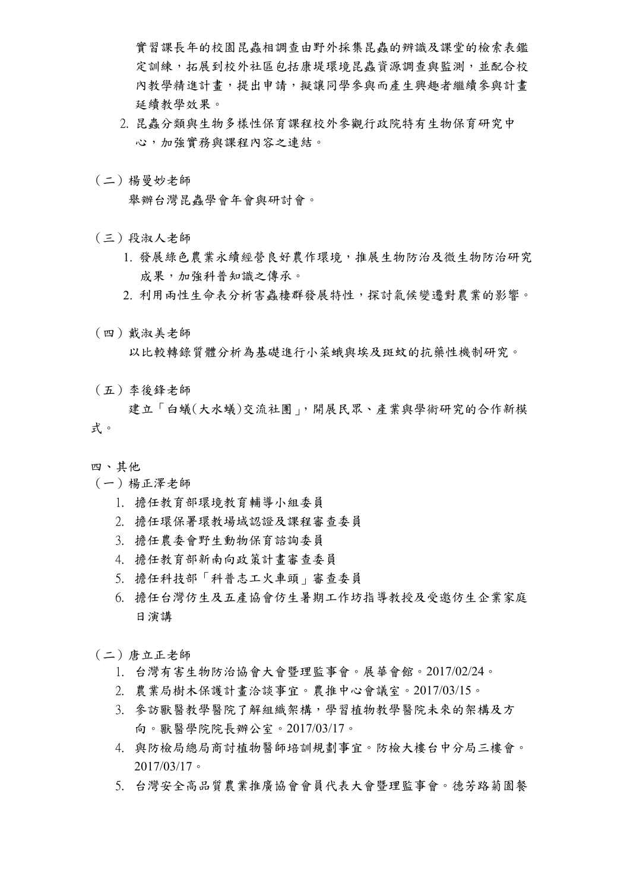實習課長年的校園昆蟲相調查由野外採集昆蟲的辨識及課堂的檢索表鑑 定訓練,拓展到校外社區包括康堤環境昆蟲資源調查與監測,並配合校 內教學精進計書,提出申請,擬讓同學參與而產生興趣者繼續參與計書 延續教學效果。

- 2. 昆蟲分類與生物多樣性保育課程校外參觀行政院特有生物保育研究中 心,加強實務與課程內容之連結。
- (二)楊曼妙老師

舉辦台灣昆蟲學會年會與研討會。

- (三)段淑人老師
	- 1. 發展綠色農業永續經營良好農作環境,推展生物防治及微生物防治研究 成果,加強科普知識之傳承。
	- 2. 利用兩性生命表分析害蟲棲群發展特性,探討氣候變遷對農業的影響。
- (四)戴淑美老師

以比較轉錄質體分析為基礎進行小菜蛾與埃及斑蚊的抗藥性機制研究。

(五)李後鋒老師

 建立「白蟻(大水蟻)交流社團」,開展民眾、產業與學術研究的合作新模 式。

- 四、其他
- (一)楊正澤老師
	- 1. 擔任教育部環境教育輔導小組委員
	- 2. 擔任環保署環教場域認證及課程審查委員
	- 3. 擔任農委會野生動物保育諮詢委員
	- 4. 擔任教育部新南向政策計畫審查委員
	- 5. 擔任科技部「科普志工火車頭」審查委員
	- 6. 擔任台灣仿生及五產協會仿生暑期工作坊指導教授及受邀仿生企業家庭 日演講
- (二)唐立正老師
	- 1. 台灣有害生物防治協會大會暨理監事會。展華會館。2017/02/24。
	- 2. 農業局樹木保護計畫洽談事宜。農推中心會議室。2017/03/15。
	- 3. 參訪獸醫教學醫院了解組織架構,學習植物教學醫院未來的架構及方 向。獸醫學院院長辦公室。2017/03/17。
	- 4. 與防檢局總局商討植物醫師培訓規劃事宜。防檢大樓台中分局三樓會。 2017/03/17。
	- 5. 台灣安全高品質農業推廣協會會員代表大會暨理監事會。德芳路菊園餐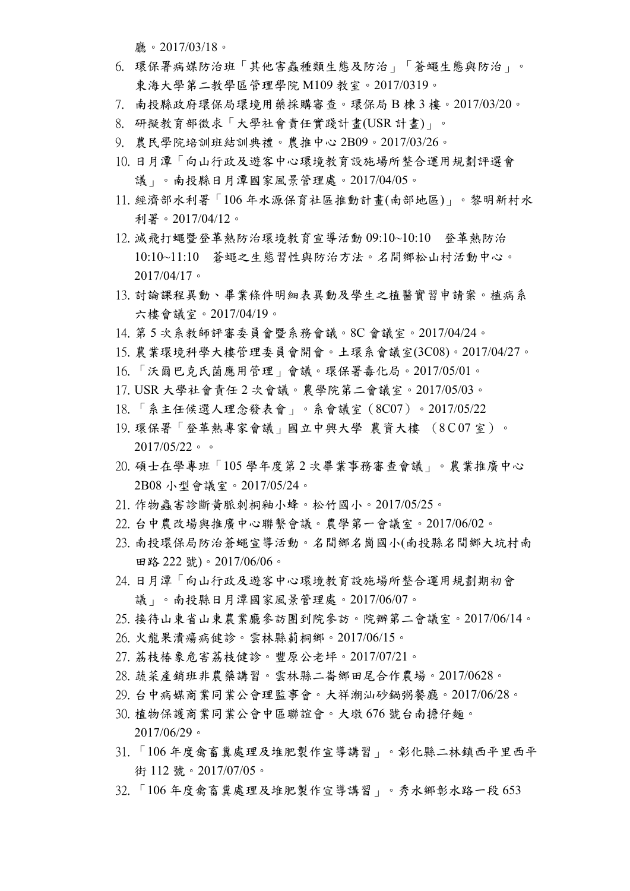廳。2017/03/18。

- 6. 環保署病媒防治班「其他害蟲種類生態及防治」「蒼蠅生態與防治」。 東海大學第二教學區管理學院 M109 教室。2017/0319。
- 7. 南投縣政府環保局環境用藥採購審查。環保局 B 棟 3 樓。2017/03/20。
- 8. 研擬教育部徵求「大學社會責任實踐計畫(USR 計畫)」。
- 9. 農民學院培訓班結訓典禮。農推中心 2B09。2017/03/26。
- 10. 日月潭「向山行政及遊客中心環境教育設施場所整合運用規劃評選會 議」。南投縣日月潭國家風景管理處。2017/04/05。
- 11. 經濟部水利署「106 年水源保育社區推動計畫(南部地區)」。黎明新村水 利署。2017/04/12。
- 12. 滅飛打蠅暨登革熱防治環境教育宣導活動 09:10~10:10 登革熱防治 10:10~11:10 蒼蠅之生態習性與防治方法。名間鄉松山村活動中心。 2017/04/17。
- 13. 討論課程異動、畢業條件明細表異動及學生之植醫實習申請案。植病系 六樓會議室。2017/04/19。
- 14. 第 5 次系教師評審委員會暨系務會議。8C 會議室。2017/04/24。
- 15. 農業環境科學大樓管理委員會開會。土環系會議室(3C08)。2017/04/27。
- 16. 「沃爾巴克氏菌應用管理」會議。環保署毒化局。2017/05/01。
- 17. USR 大學社會責任 2 次會議。農學院第二會議室。2017/05/03。
- 18. 「系主任候選人理念發表會」。系會議室(8C07)。2017/05/22
- 19. 環保署「登革熱專家會議」國立中興大學 農資大樓 (8C07 室)。 2017/05/22。。
- 20. 碩士在學專班「105 學年度第 2 次畢業事務審查會議」。農業推廣中心 2B08 小型會議室。2017/05/24。
- 21. 作物蟲害診斷黃脈刺桐釉小蜂。松竹國小。2017/05/25。
- 22. 台中農改場與推廣中心聯繫會議。農學第一會議室。2017/06/02。
- 23. 南投環保局防治蒼蠅宣導活動。名間鄉名崗國小(南投縣名間鄉大坑村南 田路 222 號)。2017/06/06。
- 24. 日月潭「向山行政及遊客中心環境教育設施場所整合運用規劃期初會 議」。南投縣日月潭國家風景管理處。2017/06/07。
- 25. 接待山東省山東農業廳參訪團到院參訪。院辦第二會議室。2017/06/14。
- 26. 火龍果潰瘍病健診。雲林縣莿桐鄉。2017/06/15。
- 27. 荔枝椿象危害荔枝健診。豐原公老坪。2017/07/21。
- 28. 蔬菜產銷班非農藥講習。雲林縣二崙鄉田尾合作農場。2017/0628。
- 29. 台中病媒商業同業公會理監事會。大祥潮汕砂鍋粥餐廳。2017/06/28。
- 30. 植物保護商業同業公會中區聯誼會。大墩 676 號台南擔仔麵。 2017/06/29。
- 31. 「106 年度禽畜糞處理及堆肥製作宣導講習」。彰化縣二林鎮西平里西平 街 112 號。2017/07/05。
- 32. 「106 年度禽畜糞處理及堆肥製作宣導講習」。秀水鄉彰水路一段 653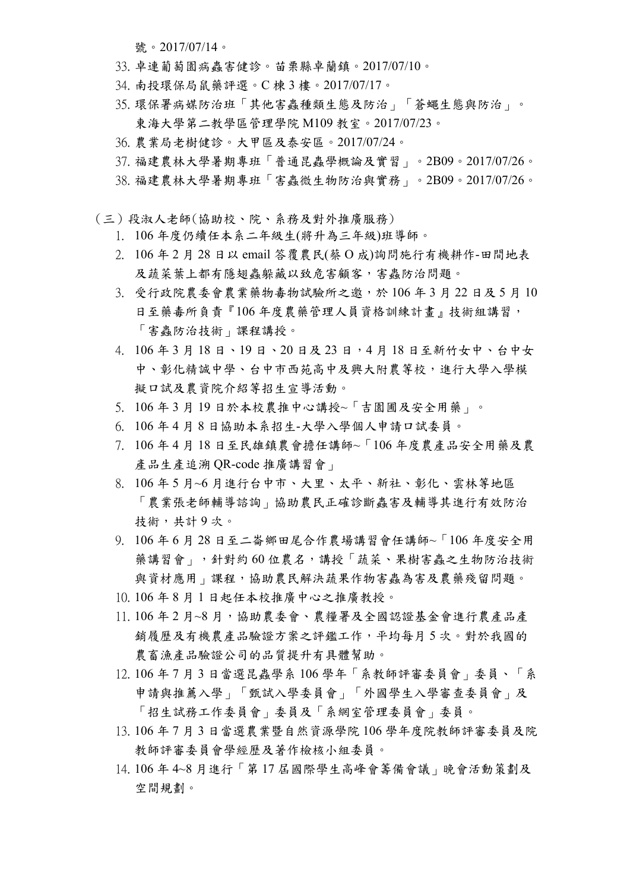號。2017/07/14。

- 33. 卓連葡萄園病蟲害健診。苗栗縣卓蘭鎮。2017/07/10。
- 34. 南投環保局鼠藥評選。C 棟 3 樓。2017/07/17。
- 35. 環保署病媒防治班「其他害蟲種類生態及防治」「蒼蠅生態與防治」。 東海大學第二教學區管理學院 M109 教室。2017/07/23。
- 36. 農業局老樹健診。大甲區及泰安區。2017/07/24。
- 37. 福建農林大學暑期專班「普通昆蟲學概論及實習」。2B09。2017/07/26。
- 38. 福建農林大學暑期專班「害蟲微生物防治與實務」。2B09。2017/07/26。
- (三)段淑人老師(協助校、院、系務及對外推廣服務)
	- 1. 106 年度仍續任本系二年級生(將升為三年級)班導師。
	- 2. 106 年 2 月 28 日以 email 答覆農民(蔡 O 成)詢問施行有機耕作-田間地表 及蔬菜葉上都有隱翅蟲躲藏以致危害顧客,害蟲防治問題。
	- 3. 受行政院農委會農業藥物毒物試驗所之邀,於 106年3月22日及5月10 日至藥毒所負責『106年度農藥管理人員資格訓練計書』技術組講習, 「害蟲防治技術」課程講授。
	- 4. 106 年 3 月 18 日、19 日、20 日及 23 日,4 月 18 日至新竹女中、台中女 中、彰化精誠中學、台中市西苑高中及興大附農等校,進行大學入學模 擬口試及農資院介紹等招生宣導活動。
	- 5. 106 年 3 月 19 日於本校農推中心講授~「吉園圃及安全用藥」。
	- 6. 106 年 4 月 8 日協助本系招生-大學入學個人申請口試委員。
	- 7. 106 年 4 月 18 日至民雄鎮農會擔任講師~「106 年度農產品安全用藥及農 產品生產追溯 QR-code 推廣講習會」
	- 8. 106 年 5 月~6 月進行台中市、大里、太平、新社、彰化、雲林等地區 「農業張老師輔導諮詢」協助農民正確診斷蟲害及輔導其進行有效防治 技術,共計9次。
	- 9. 106 年 6 月 28 日至二崙鄉田尾合作農場講習會任講師~「106 年度安全用 藥講習會」,針對約60位農名,講授「蔬菜、果樹害蟲之生物防治技術 與資材應用」課程,協助農民解決蔬果作物害蟲為害及農藥殘留問題。
	- 10. 106 年 8 月 1 日起任本校推廣中心之推廣教授。
	- 11. 106年2月~8月,協助農委會、農糧署及全國認證基金會進行農產品產 銷履歷及有機農產品驗證方案之評鑑工作,平均每月 5 次。對於我國的 農畜漁產品驗證公司的品質提升有具體幫助。
	- 12. 106 年 7 月 3 日當選昆蟲學系 106 學年「系教師評審委員會」委員、「系 申請與推薦入學」「甄試入學委員會」「外國學生入學審查委員會」及 「招生試務工作委員會」委員及「系網室管理委員會」委員。
	- 13. 106 年 7 月 3 日當選農業暨自然資源學院 106 學年度院教師評審委員及院 教師評審委員會學經歷及著作檢核小組委員。
	- 14. 106 年 4~8 月進行「第 17 屆國際學生高峰會籌備會議」晚會活動策劃及 空間規劃。